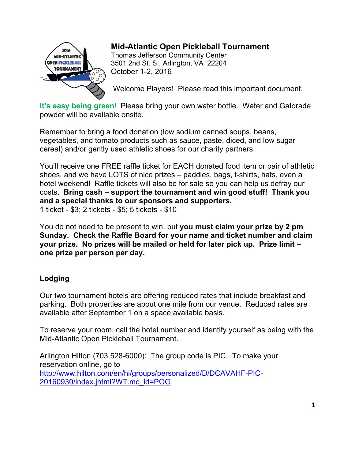

# **Mid-Atlantic Open Pickleball Tournament**

Thomas Jefferson Community Center 3501 2nd St. S., Arlington, VA 22204 October 1-2, 2016

Welcome Players! Please read this important document.

**It's easy being green**! Please bring your own water bottle. Water and Gatorade powder will be available onsite.

Remember to bring a food donation (low sodium canned soups, beans, vegetables, and tomato products such as sauce, paste, diced, and low sugar cereal) and/or gently used athletic shoes for our charity partners.

You'll receive one FREE raffle ticket for EACH donated food item or pair of athletic shoes, and we have LOTS of nice prizes – paddles, bags, t-shirts, hats, even a hotel weekend! Raffle tickets will also be for sale so you can help us defray our costs. **Bring cash – support the tournament and win good stuff! Thank you and a special thanks to our sponsors and supporters.** 1 ticket - \$3; 2 tickets - \$5; 5 tickets - \$10

You do not need to be present to win, but **you must claim your prize by 2 pm Sunday. Check the Raffle Board for your name and ticket number and claim your prize. No prizes will be mailed or held for later pick up. Prize limit – one prize per person per day.**

# **Lodging**

Our two tournament hotels are offering reduced rates that include breakfast and parking. Both properties are about one mile from our venue. Reduced rates are available after September 1 on a space available basis.

To reserve your room, call the hotel number and identify yourself as being with the Mid-Atlantic Open Pickleball Tournament.

Arlington Hilton (703 528-6000): The group code is PIC. To make your reservation online, go to http://www.hilton.com/en/hi/groups/personalized/D/DCAVAHF-PIC-20160930/index.jhtml?WT.mc\_id=POG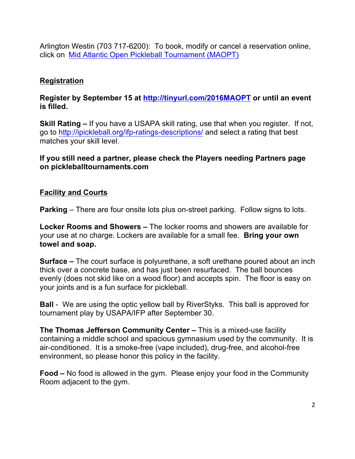Arlington Westin (703 717-6200): To book, modify or cancel a reservation online, click on Mid Atlantic Open Pickleball Tournament (MAOPT)

### **Registration**

### **Register by September 15 at http://tinyurl.com/2016MAOPT or until an event is filled.**

**Skill Rating –** If you have a USAPA skill rating, use that when you register. If not, go to http://ipickleball.org/ifp-ratings-descriptions/ and select a rating that best matches your skill level.

### **If you still need a partner, please check the Players needing Partners page on pickleballtournaments.com**

#### **Facility and Courts**

**Parking** – There are four onsite lots plus on-street parking. Follow signs to lots.

**Locker Rooms and Showers –** The locker rooms and showers are available for your use at no charge. Lockers are available for a small fee. **Bring your own towel and soap.**

**Surface –** The court surface is polyurethane, a soft urethane poured about an inch thick over a concrete base, and has just been resurfaced. The ball bounces evenly (does not skid like on a wood floor) and accepts spin. The floor is easy on your joints and is a fun surface for pickleball.

**Ball** - We are using the optic yellow ball by RiverStyks. This ball is approved for tournament play by USAPA/IFP after September 30.

**The Thomas Jefferson Community Center –** This is a mixed-use facility containing a middle school and spacious gymnasium used by the community. It is air-conditioned. It is a smoke-free (vape included), drug-free, and alcohol-free environment, so please honor this policy in the facility.

**Food –** No food is allowed in the gym. Please enjoy your food in the Community Room adjacent to the gym.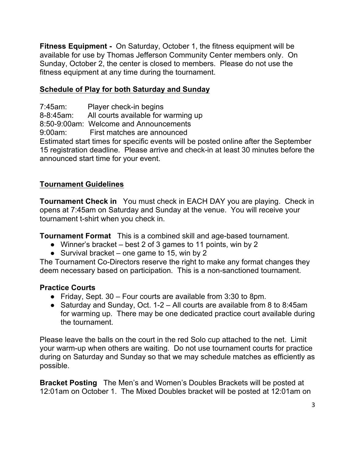**Fitness Equipment -** On Saturday, October 1, the fitness equipment will be available for use by Thomas Jefferson Community Center members only. On Sunday, October 2, the center is closed to members. Please do not use the fitness equipment at any time during the tournament.

### **Schedule of Play for both Saturday and Sunday**

7:45am: Player check-in begins 8-8:45am: All courts available for warming up 8:50-9:00am: Welcome and Announcements 9:00am: First matches are announced Estimated start times for specific events will be posted online after the September 15 registration deadline. Please arrive and check-in at least 30 minutes before the announced start time for your event.

### **Tournament Guidelines**

**Tournament Check in** You must check in EACH DAY you are playing. Check in opens at 7:45am on Saturday and Sunday at the venue. You will receive your tournament t-shirt when you check in.

**Tournament Format** This is a combined skill and age-based tournament.

- Winner's bracket best 2 of 3 games to 11 points, win by 2
- Survival bracket one game to 15, win by 2

The Tournament Co-Directors reserve the right to make any format changes they deem necessary based on participation. This is a non-sanctioned tournament.

### **Practice Courts**

- Friday, Sept. 30 Four courts are available from  $3:30$  to 8pm.
- Saturday and Sunday, Oct. 1-2 All courts are available from 8 to 8:45am for warming up. There may be one dedicated practice court available during the tournament.

Please leave the balls on the court in the red Solo cup attached to the net. Limit your warm-up when others are waiting. Do not use tournament courts for practice during on Saturday and Sunday so that we may schedule matches as efficiently as possible.

**Bracket Posting** The Men's and Women's Doubles Brackets will be posted at 12:01am on October 1. The Mixed Doubles bracket will be posted at 12:01am on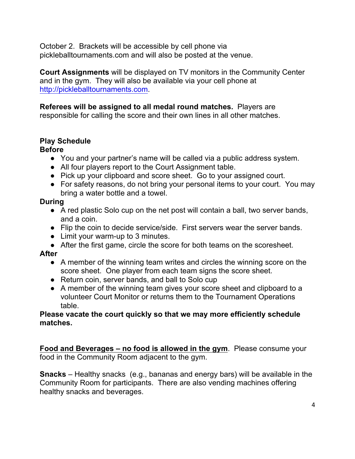October 2. Brackets will be accessible by cell phone via pickleballtournaments.com and will also be posted at the venue.

**Court Assignments** will be displayed on TV monitors in the Community Center and in the gym. They will also be available via your cell phone at http://pickleballtournaments.com.

# **Referees will be assigned to all medal round matches.** Players are

responsible for calling the score and their own lines in all other matches.

### **Play Schedule**

#### **Before**

- You and your partner's name will be called via a public address system.
- All four players report to the Court Assignment table.
- Pick up your clipboard and score sheet. Go to your assigned court.
- For safety reasons, do not bring your personal items to your court. You may bring a water bottle and a towel.

### **During**

- A red plastic Solo cup on the net post will contain a ball, two server bands, and a coin.
- Flip the coin to decide service/side. First servers wear the server bands.
- Limit your warm-up to 3 minutes.
- After the first game, circle the score for both teams on the scoresheet.

# **After**

- A member of the winning team writes and circles the winning score on the score sheet. One player from each team signs the score sheet.
- Return coin, server bands, and ball to Solo cup
- A member of the winning team gives your score sheet and clipboard to a volunteer Court Monitor or returns them to the Tournament Operations table.

### **Please vacate the court quickly so that we may more efficiently schedule matches.**

**Food and Beverages – no food is allowed in the gym**. Please consume your food in the Community Room adjacent to the gym.

**Snacks** – Healthy snacks (e.g., bananas and energy bars) will be available in the Community Room for participants. There are also vending machines offering healthy snacks and beverages.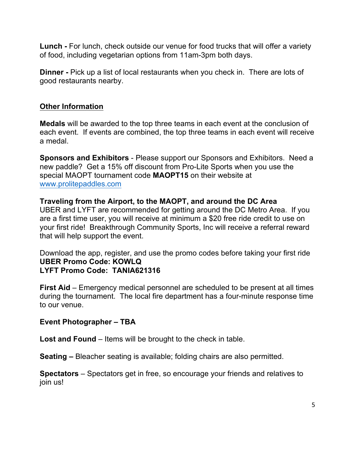**Lunch -** For lunch, check outside our venue for food trucks that will offer a variety of food, including vegetarian options from 11am-3pm both days.

**Dinner -** Pick up a list of local restaurants when you check in. There are lots of good restaurants nearby.

### **Other Information**

**Medals** will be awarded to the top three teams in each event at the conclusion of each event. If events are combined, the top three teams in each event will receive a medal.

**Sponsors and Exhibitors** - Please support our Sponsors and Exhibitors. Need a new paddle? Get a 15% off discount from Pro-Lite Sports when you use the special MAOPT tournament code **MAOPT15** on their website at www.prolitepaddles.com

### **Traveling from the Airport, to the MAOPT, and around the DC Area**

UBER and LYFT are recommended for getting around the DC Metro Area. If you are a first time user, you will receive at minimum a \$20 free ride credit to use on your first ride! Breakthrough Community Sports, Inc will receive a referral reward that will help support the event.

Download the app, register, and use the promo codes before taking your first ride **UBER Promo Code: KOWLQ LYFT Promo Code: TANIA621316**

**First Aid** – Emergency medical personnel are scheduled to be present at all times during the tournament. The local fire department has a four-minute response time to our venue.

### **Event Photographer – TBA**

**Lost and Found** – Items will be brought to the check in table.

**Seating –** Bleacher seating is available; folding chairs are also permitted.

**Spectators** – Spectators get in free, so encourage your friends and relatives to join us!